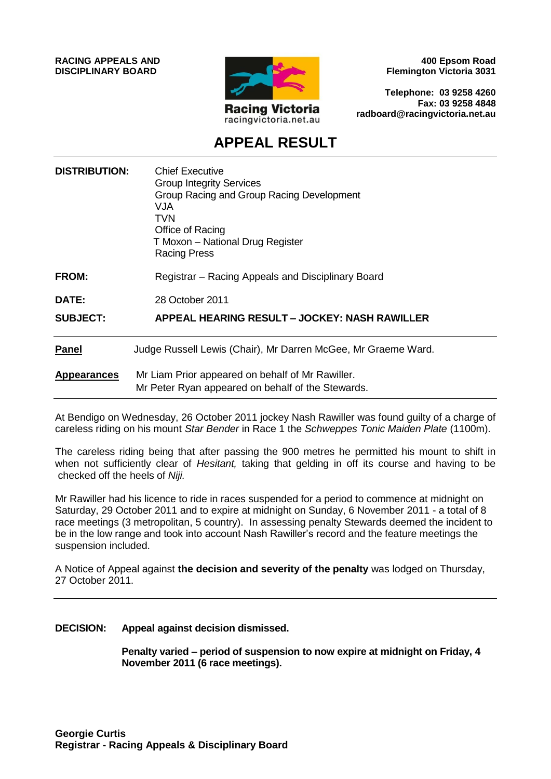**RACING APPEALS AND DISCIPLINARY BOARD**



**400 Epsom Road Flemington Victoria 3031**

**Telephone: 03 9258 4260 Fax: 03 9258 4848 radboard@racingvictoria.net.au**

# **APPEAL RESULT**

| <b>DISTRIBUTION:</b> | <b>Chief Executive</b><br><b>Group Integrity Services</b><br>Group Racing and Group Racing Development<br>VJA<br>TVN<br>Office of Racing<br>T Moxon - National Drug Register<br><b>Racing Press</b> |
|----------------------|-----------------------------------------------------------------------------------------------------------------------------------------------------------------------------------------------------|
| <b>FROM:</b>         | Registrar - Racing Appeals and Disciplinary Board                                                                                                                                                   |
| <b>DATE:</b>         | 28 October 2011                                                                                                                                                                                     |
| <b>SUBJECT:</b>      | APPEAL HEARING RESULT – JOCKEY: NASH RAWILLER                                                                                                                                                       |
| <b>Panel</b>         | Judge Russell Lewis (Chair), Mr Darren McGee, Mr Graeme Ward.                                                                                                                                       |
| <b>Appearances</b>   | Mr Liam Prior appeared on behalf of Mr Rawiller.<br>Mr Peter Ryan appeared on behalf of the Stewards.                                                                                               |

At Bendigo on Wednesday, 26 October 2011 jockey Nash Rawiller was found guilty of a charge of careless riding on his mount *Star Bender* in Race 1 the *Schweppes Tonic Maiden Plate* (1100m).

The careless riding being that after passing the 900 metres he permitted his mount to shift in when not sufficiently clear of *Hesitant,* taking that gelding in off its course and having to be checked off the heels of *Niji.*

Mr Rawiller had his licence to ride in races suspended for a period to commence at midnight on Saturday, 29 October 2011 and to expire at midnight on Sunday, 6 November 2011 - a total of 8 race meetings (3 metropolitan, 5 country). In assessing penalty Stewards deemed the incident to be in the low range and took into account Nash Rawiller's record and the feature meetings the suspension included.

A Notice of Appeal against **the decision and severity of the penalty** was lodged on Thursday, 27 October 2011.

**DECISION: Appeal against decision dismissed.**

**Penalty varied – period of suspension to now expire at midnight on Friday, 4 November 2011 (6 race meetings).**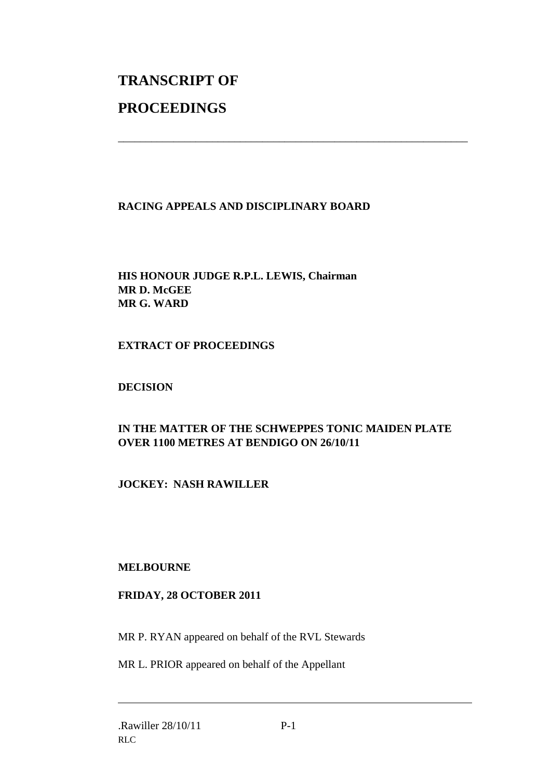# **TRANSCRIPT OF PROCEEDINGS**

# **RACING APPEALS AND DISCIPLINARY BOARD**

\_\_\_\_\_\_\_\_\_\_\_\_\_\_\_\_\_\_\_\_\_\_\_\_\_\_\_\_\_\_\_\_\_\_\_\_\_\_\_\_\_\_\_\_\_\_\_\_\_\_\_\_\_\_\_\_\_\_\_\_\_\_\_

# **HIS HONOUR JUDGE R.P.L. LEWIS, Chairman MR D. McGEE MR G. WARD**

#### **EXTRACT OF PROCEEDINGS**

# **DECISION**

# **IN THE MATTER OF THE SCHWEPPES TONIC MAIDEN PLATE OVER 1100 METRES AT BENDIGO ON 26/10/11**

# **JOCKEY: NASH RAWILLER**

#### **MELBOURNE**

#### **FRIDAY, 28 OCTOBER 2011**

MR P. RYAN appeared on behalf of the RVL Stewards

MR L. PRIOR appeared on behalf of the Appellant